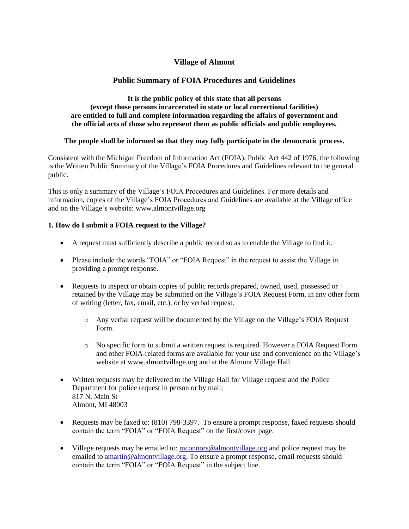# **Village of Almont**

# **Public Summary of FOIA Procedures and Guidelines**

#### **It is the public policy of this state that all persons (except those persons incarcerated in state or local correctional facilities) are entitled to full and complete information regarding the affairs of government and the official acts of those who represent them as public officials and public employees.**

## **The people shall be informed so that they may fully participate in the democratic process.**

Consistent with the Michigan Freedom of Information Act (FOIA), Public Act 442 of 1976, the following is the Written Public Summary of the Village's FOIA Procedures and Guidelines relevant to the general public.

This is only a summary of the Village's FOIA Procedures and Guidelines. For more details and information, copies of the Village's FOIA Procedures and Guidelines are available at the Village office and on the Village's website: www.almontvillage.org

## **1. How do I submit a FOIA request to the Village?**

- A request must sufficiently describe a public record so as to enable the Village to find it.
- Please include the words "FOIA" or "FOIA Request" in the request to assist the Village in providing a prompt response.
- Requests to inspect or obtain copies of public records prepared, owned, used, possessed or retained by the Village may be submitted on the Village's FOIA Request Form, in any other form of writing (letter, fax, email, etc.), or by verbal request.
	- o Any verbal request will be documented by the Village on the Village's FOIA Request Form.
	- o No specific form to submit a written request is required. However a FOIA Request Form and other FOIA-related forms are available for your use and convenience on the Village's website at www.almontvillage.org and at the Almont Village Hall.
- Written requests may be delivered to the Village Hall for Village request and the Police Department for police request in person or by mail: 817 N. Main St Almont, MI 48003
- Requests may be faxed to: (810) 798-3397. To ensure a prompt response, faxed requests should contain the term "FOIA" or "FOIA Request" on the first/cover page.
- Village requests may be emailed to: [mconnors@almontvillage.org](mailto:mconnors@almontvillage.org) and police request may be emailed to [amartin@almontvillage.org.](mailto:amartin@almontvillage.org) To ensure a prompt response, email requests should contain the term "FOIA" or "FOIA Request" in the subject line.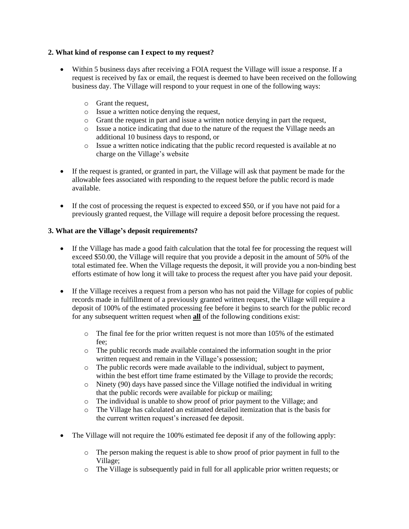## **2. What kind of response can I expect to my request?**

- Within 5 business days after receiving a FOIA request the Village will issue a response. If a request is received by fax or email, the request is deemed to have been received on the following business day. The Village will respond to your request in one of the following ways:
	- o Grant the request,
	- o Issue a written notice denying the request,
	- o Grant the request in part and issue a written notice denying in part the request,
	- o Issue a notice indicating that due to the nature of the request the Village needs an additional 10 business days to respond, or
	- o Issue a written notice indicating that the public record requested is available at no charge on the Village's website
- If the request is granted, or granted in part, the Village will ask that payment be made for the allowable fees associated with responding to the request before the public record is made available.
- If the cost of processing the request is expected to exceed \$50, or if you have not paid for a previously granted request, the Village will require a deposit before processing the request.

## **3. What are the Village's deposit requirements?**

- If the Village has made a good faith calculation that the total fee for processing the request will exceed \$50.00, the Village will require that you provide a deposit in the amount of 50% of the total estimated fee. When the Village requests the deposit, it will provide you a non-binding best efforts estimate of how long it will take to process the request after you have paid your deposit.
- If the Village receives a request from a person who has not paid the Village for copies of public records made in fulfillment of a previously granted written request, the Village will require a deposit of 100% of the estimated processing fee before it begins to search for the public record for any subsequent written request when **all** of the following conditions exist:
	- $\circ$  The final fee for the prior written request is not more than 105% of the estimated fee;
	- o The public records made available contained the information sought in the prior written request and remain in the Village's possession;
	- o The public records were made available to the individual, subject to payment, within the best effort time frame estimated by the Village to provide the records;
	- o Ninety (90) days have passed since the Village notified the individual in writing that the public records were available for pickup or mailing;
	- o The individual is unable to show proof of prior payment to the Village; and
	- o The Village has calculated an estimated detailed itemization that is the basis for the current written request's increased fee deposit.
- The Village will not require the 100% estimated fee deposit if any of the following apply:
	- o The person making the request is able to show proof of prior payment in full to the Village;
	- o The Village is subsequently paid in full for all applicable prior written requests; or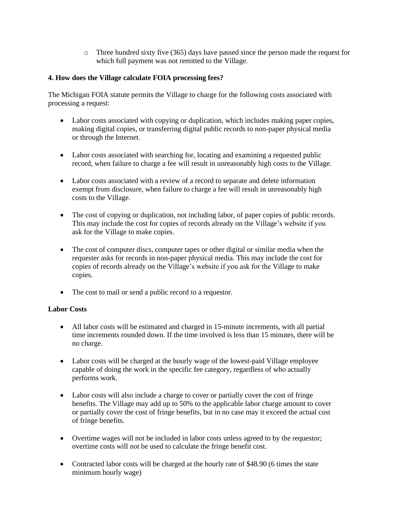o Three hundred sixty five (365) days have passed since the person made the request for which full payment was not remitted to the Village.

## **4. How does the Village calculate FOIA processing fees?**

The Michigan FOIA statute permits the Village to charge for the following costs associated with processing a request:

- Labor costs associated with copying or duplication, which includes making paper copies, making digital copies, or transferring digital public records to non-paper physical media or through the Internet.
- Labor costs associated with searching for, locating and examining a requested public record, when failure to charge a fee will result in unreasonably high costs to the Village.
- Labor costs associated with a review of a record to separate and delete information exempt from disclosure, when failure to charge a fee will result in unreasonably high costs to the Village.
- The cost of copying or duplication, not including labor, of paper copies of public records. This may include the cost for copies of records already on the Village's website if you ask for the Village to make copies.
- The cost of computer discs, computer tapes or other digital or similar media when the requester asks for records in non-paper physical media. This may include the cost for copies of records already on the Village's website if you ask for the Village to make copies.
- The cost to mail or send a public record to a requestor.

#### **Labor Costs**

- All labor costs will be estimated and charged in 15-minute increments, with all partial time increments rounded down. If the time involved is less than 15 minutes, there will be no charge.
- Labor costs will be charged at the hourly wage of the lowest-paid Village employee capable of doing the work in the specific fee category, regardless of who actually performs work.
- Labor costs will also include a charge to cover or partially cover the cost of fringe benefits. The Village may add up to 50% to the applicable labor charge amount to cover or partially cover the cost of fringe benefits, but in no case may it exceed the actual cost of fringe benefits.
- Overtime wages will not be included in labor costs unless agreed to by the requestor; overtime costs will not be used to calculate the fringe benefit cost.
- Contracted labor costs will be charged at the hourly rate of \$48.90 (6 times the state minimum hourly wage)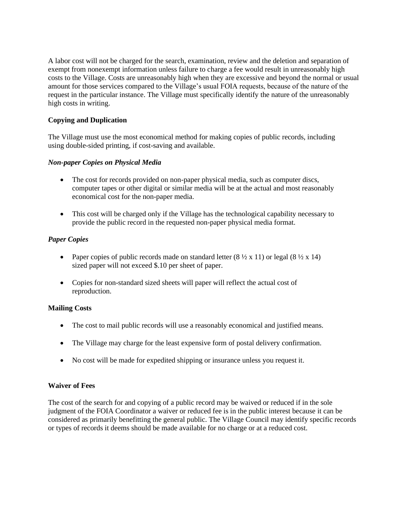A labor cost will not be charged for the search, examination, review and the deletion and separation of exempt from nonexempt information unless failure to charge a fee would result in unreasonably high costs to the Village. Costs are unreasonably high when they are excessive and beyond the normal or usual amount for those services compared to the Village's usual FOIA requests, because of the nature of the request in the particular instance. The Village must specifically identify the nature of the unreasonably high costs in writing.

## **Copying and Duplication**

The Village must use the most economical method for making copies of public records, including using double-sided printing, if cost-saving and available.

## *Non-paper Copies on Physical Media*

- The cost for records provided on non-paper physical media, such as computer discs, computer tapes or other digital or similar media will be at the actual and most reasonably economical cost for the non-paper media.
- This cost will be charged only if the Village has the technological capability necessary to provide the public record in the requested non-paper physical media format.

## *Paper Copies*

- Paper copies of public records made on standard letter  $(8 \frac{1}{2} \times 11)$  or legal  $(8 \frac{1}{2} \times 14)$ sized paper will not exceed \$.10 per sheet of paper.
- Copies for non-standard sized sheets will paper will reflect the actual cost of reproduction.

## **Mailing Costs**

- The cost to mail public records will use a reasonably economical and justified means.
- The Village may charge for the least expensive form of postal delivery confirmation.
- No cost will be made for expedited shipping or insurance unless you request it.

## **Waiver of Fees**

The cost of the search for and copying of a public record may be waived or reduced if in the sole judgment of the FOIA Coordinator a waiver or reduced fee is in the public interest because it can be considered as primarily benefitting the general public. The Village Council may identify specific records or types of records it deems should be made available for no charge or at a reduced cost.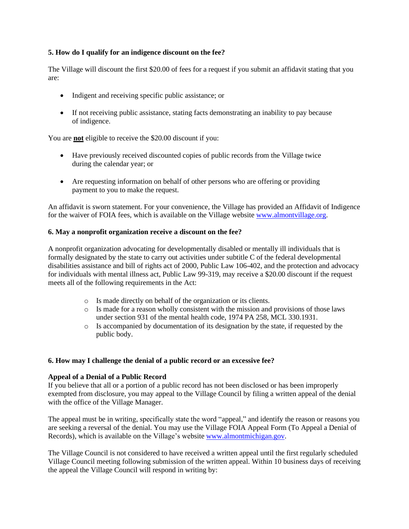#### **5. How do I qualify for an indigence discount on the fee?**

The Village will discount the first \$20.00 of fees for a request if you submit an affidavit stating that you are:

- Indigent and receiving specific public assistance; or
- If not receiving public assistance, stating facts demonstrating an inability to pay because of indigence.

You are **not** eligible to receive the \$20.00 discount if you:

- Have previously received discounted copies of public records from the Village twice during the calendar year; or
- Are requesting information on behalf of other persons who are offering or providing payment to you to make the request.

An affidavit is sworn statement. For your convenience, the Village has provided an Affidavit of Indigence for the waiver of FOIA fees, which is available on the Village website [www.almontvillage.org.](http://www.almontvillage.org/)

#### **6. May a nonprofit organization receive a discount on the fee?**

A nonprofit organization advocating for developmentally disabled or mentally ill individuals that is formally designated by the state to carry out activities under subtitle C of the federal developmental disabilities assistance and bill of rights act of 2000, Public Law 106-402, and the protection and advocacy for individuals with mental illness act, Public Law 99-319, may receive a \$20.00 discount if the request meets all of the following requirements in the Act:

- o Is made directly on behalf of the organization or its clients.
- o Is made for a reason wholly consistent with the mission and provisions of those laws under section 931 of the mental health code, 1974 PA 258, MCL 330.1931.
- o Is accompanied by documentation of its designation by the state, if requested by the public body.

#### **6. How may I challenge the denial of a public record or an excessive fee?**

#### **Appeal of a Denial of a Public Record**

If you believe that all or a portion of a public record has not been disclosed or has been improperly exempted from disclosure, you may appeal to the Village Council by filing a written appeal of the denial with the office of the Village Manager.

The appeal must be in writing, specifically state the word "appeal," and identify the reason or reasons you are seeking a reversal of the denial. You may use the Village FOIA Appeal Form (To Appeal a Denial of Records), which is available on the Village's websit[e www.almontmichigan.gov.](http://www.almontmichigan.gov/)

The Village Council is not considered to have received a written appeal until the first regularly scheduled Village Council meeting following submission of the written appeal. Within 10 business days of receiving the appeal the Village Council will respond in writing by: